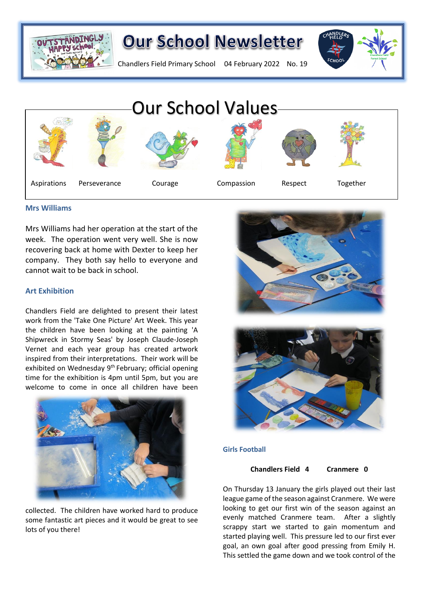

## **Our School Newsletter**

Chandlers Field Primary School 04 February 2022 No. 19





#### **Mrs Williams**

Mrs Williams had her operation at the start of the week. The operation went very well. She is now recovering back at home with Dexter to keep her company. They both say hello to everyone and cannot wait to be back in school.

### **Art Exhibition**

Chandlers Field are delighted to present their latest work from the 'Take One Picture' Art Week. This year the children have been looking at the painting 'A Shipwreck in Stormy Seas' by Joseph Claude-Joseph Vernet and each year group has created artwork inspired from their interpretations. Their work will be exhibited on Wednesday 9<sup>th</sup> February; official opening time for the exhibition is 4pm until 5pm, but you are welcome to come in once all children have been



collected. The children have worked hard to produce some fantastic art pieces and it would be great to see lots of you there!





#### **Girls Football**

#### **Chandlers Field 4 Cranmere 0**

On Thursday 13 January the girls played out their last league game of the season against Cranmere. We were looking to get our first win of the season against an evenly matched Cranmere team. After a slightly scrappy start we started to gain momentum and started playing well. This pressure led to our first ever goal, an own goal after good pressing from Emily H. This settled the game down and we took control of the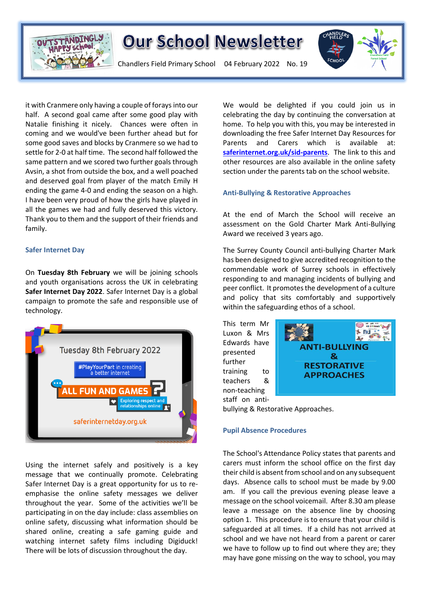

## **Our School Newsletter**

Chandlers Field Primary School 04 February 2022 No. 19



it with Cranmere only having a couple of forays into our half. A second goal came after some good play with Natalie finishing it nicely. Chances were often in coming and we would've been further ahead but for some good saves and blocks by Cranmere so we had to settle for 2-0 at half time. The second half followed the same pattern and we scored two further goals through Avsin, a shot from outside the box, and a well poached and deserved goal from player of the match Emily H ending the game 4-0 and ending the season on a high. I have been very proud of how the girls have played in all the games we had and fully deserved this victory. Thank you to them and the support of their friends and family.

#### **Safer Internet Day**

On **Tuesday 8th February** we will be joining schools and youth organisations across the UK in celebrating **Safer Internet Day 2022**. Safer Internet Day is a global campaign to promote the safe and responsible use of technology.



Using the internet safely and positively is a key message that we continually promote. Celebrating Safer Internet Day is a great opportunity for us to reemphasise the online safety messages we deliver throughout the year. Some of the activities we'll be participating in on the day include: class assemblies on online safety, discussing what information should be shared online, creating a safe gaming guide and watching internet safety films including Digiduck! There will be lots of discussion throughout the day.

We would be delighted if you could join us in celebrating the day by continuing the conversation at home. To help you with this, you may be interested in downloading the free Safer Internet Day Resources for Parents and Carers which is available at: **[saferinternet.org.uk/sid-parents](https://www.saferinternet.org.uk/safer-internet-day/safer-internet-day-2020/i-am-parent-or-carer)**. The link to this and other resources are also available in the online safety section under the parents tab on the school website.

#### **Anti-Bullying & Restorative Approaches**

At the end of March the School will receive an assessment on the Gold Charter Mark Anti-Bullying Award we received 3 years ago.

The Surrey County Council anti-bullying Charter Mark has been designed to give accredited recognition to the commendable work of Surrey schools in effectively responding to and managing incidents of bullying and peer conflict. It promotes the development of a culture and policy that sits comfortably and supportively within the safeguarding ethos of a school.

This term Mr Luxon & Mrs Edwards have presented further training to teachers & non-teaching staff on anti-



bullying & Restorative Approaches.

#### **Pupil Absence Procedures**

The School's Attendance Policy states that parents and carers must inform the school office on the first day their child is absent from school and on any subsequent days. Absence calls to school must be made by 9.00 am. If you call the previous evening please leave a message on the school voicemail. After 8.30 am please leave a message on the absence line by choosing option 1. This procedure is to ensure that your child is safeguarded at all times. If a child has not arrived at school and we have not heard from a parent or carer we have to follow up to find out where they are; they may have gone missing on the way to school, you may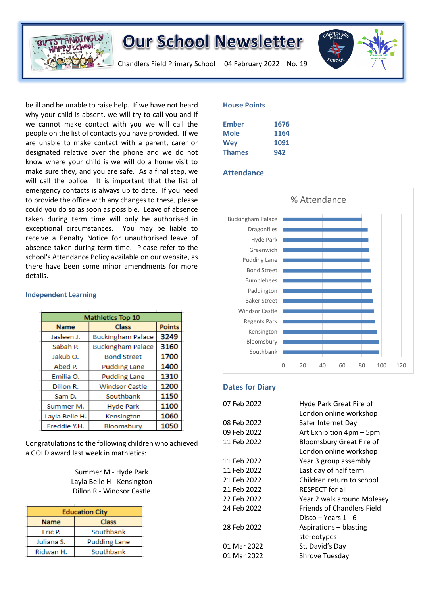

**Independent Learning**

### **Our School Newsletter**

Chandlers Field Primary School 04 February 2022 No. 19



be ill and be unable to raise help. If we have not heard why your child is absent, we will try to call you and if we cannot make contact with you we will call the people on the list of contacts you have provided. If we are unable to make contact with a parent, carer or designated relative over the phone and we do not know where your child is we will do a home visit to make sure they, and you are safe. As a final step, we will call the police. It is important that the list of emergency contacts is always up to date. If you need to provide the office with any changes to these, please could you do so as soon as possible. Leave of absence taken during term time will only be authorised in exceptional circumstances. You may be liable to receive a Penalty Notice for unauthorised leave of absence taken during term time. Please refer to the school's Attendance Policy available on our website, as there have been some minor amendments for more details.

#### **Mathletics Top 10 Name Class Points** Jasleen J. **Buckingham Palace** 3249 Sabah P. **Buckingham Palace** 3160 1700 Jakub<sub>O</sub>. **Bond Street** 1400 Abed P. **Pudding Lane** 1310 Emilia O. **Pudding Lane** Dillon R. **Windsor Castle** 1200 Southbank 1150 Sam D. Summer M. **Hyde Park** 1100 1060 Layla Belle H. Kensington Freddie Y.H. Bloomsbury 1050

Congratulations to the following children who achieved a GOLD award last week in mathletics:

> Summer M - Hyde Park Layla Belle H - Kensington Dillon R - Windsor Castle

| <b>Education City</b> |                     |
|-----------------------|---------------------|
| <b>Name</b>           | Class               |
| Eric P.               | Southbank           |
| Juliana S.            | <b>Pudding Lane</b> |
| Ridwan H.             | Southbank           |

#### **House Points**

| Ember         | 1676 |
|---------------|------|
| <b>Mole</b>   | 1164 |
| <b>Wev</b>    | 1091 |
| <b>Thames</b> | 942  |

#### **Attendance**



#### **Dates for Diary**

| 07 Feb 2022 | Hyde Park Great Fire of           |
|-------------|-----------------------------------|
|             | London online workshop            |
| 08 Feb 2022 | Safer Internet Day                |
| 09 Feb 2022 | Art Exhibition 4pm - 5pm          |
| 11 Feb 2022 | <b>Bloomsbury Great Fire of</b>   |
|             | London online workshop            |
| 11 Feb 2022 | Year 3 group assembly             |
| 11 Feb 2022 | Last day of half term             |
| 21 Feb 2022 | Children return to school         |
| 21 Feb 2022 | <b>RESPECT</b> for all            |
| 22 Feb 2022 | Year 2 walk around Molesey        |
| 24 Feb 2022 | <b>Friends of Chandlers Field</b> |
|             | Disco – Years 1 - 6               |
| 28 Feb 2022 | Aspirations - blasting            |
|             | stereotypes                       |
| 01 Mar 2022 | St. David's Day                   |
| 01 Mar 2022 | Shrove Tuesday                    |
|             |                                   |